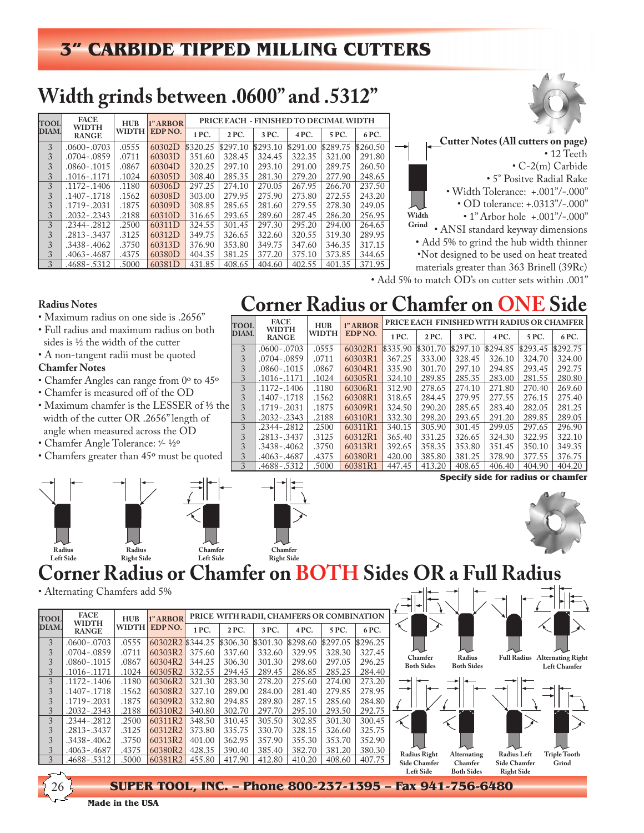# **Width grinds between .0600" and .5312"**

| <b>TOOL</b> | <b>FACE</b><br><b>WIDTH</b> | <b>HUB</b> | 1" <b>ARROR</b> |          | PRICE EACH - FINISHED TO DECIMAL WIDTH |          |          |          |          |  |  |  |
|-------------|-----------------------------|------------|-----------------|----------|----------------------------------------|----------|----------|----------|----------|--|--|--|
| DIAM.       | <b>RANGE</b>                | WIDTH      | EDP NO.         | 1 PC.    | 2 PC.                                  | 3 PC.    | 4PC.     | 5 PC.    | 6 PC.    |  |  |  |
| 3           | .0600 - .0703               | .0555      | 60302D          | \$320.25 | \$297.10                               | \$293.10 | \$291.00 | \$289.75 | \$260.50 |  |  |  |
| 3           | .0704 - .0859               | .0711      | 60303D          | 351.60   | 328.45                                 | 324.45   | 322.35   | 321.00   | 291.80   |  |  |  |
| 3           | .0860-.1015                 | .0867      | 60304D          | 320.25   | 297.10                                 | 293.10   | 291.00   | 289.75   | 260.50   |  |  |  |
| 3           | .1016-.1171                 | .1024      | 60305D          | 308.40   | 285.35                                 | 281.30   | 279.20   | 277.90   | 248.65   |  |  |  |
| 3           | $.1172 - .1406$             | .1180      | 60306D          | 297.25   | 274.10                                 | 270.05   | 267.95   | 266.70   | 237.50   |  |  |  |
| 3           | .1407-.1718                 | .1562      | 60308D          | 303.00   | 279.95                                 | 275.90   | 273.80   | 272.55   | 243.20   |  |  |  |
| 3           | .1719 - .2031               | .1875      | 60309D          | 308.85   | 285.65                                 | 281.60   | 279.55   | 278.30   | 249.05   |  |  |  |
| 3           | $.2032 - .2343$             | .2188      | 60310D          | 316.65   | 293.65                                 | 289.60   | 287.45   | 286.20   | 256.95   |  |  |  |
| 3           | $.2344 - .2812$             | .2500      | 60311D          | 324.55   | 301.45                                 | 297.30   | 295.20   | 294.00   | 264.65   |  |  |  |
| 3           | .2813 - .3437               | .3125      | 60312D          | 349.75   | 326.65                                 | 322.60   | 320.55   | 319.30   | 289.95   |  |  |  |
| 3           | $.3438 - .4062$             | .3750      | 60313D          | 376.90   | 353.80                                 | 349.75   | 347.60   | 346.35   | 317.15   |  |  |  |
| 3           | .4063 - .4687               | .4375      | 60380D          | 404.35   | 381.25                                 | 377.20   | 375.10   | 373.85   | 344.65   |  |  |  |
| 3           | .4688-.5312                 | .5000      | 60381D          | 431.85   | 408.65                                 | 404.60   | 402.55   | 401.35   | 371.95   |  |  |  |



**Cutter Notes (All cutters on page)** • 12 Teeth • C-2(m) Carbide • 5° Positve Radial Rake • Width Tolerance: +.001"/-.000" • OD tolerance: +.0313"/-.000" • 1" Arbor hole +.001"/-.000" • ANSI standard keyway dimensions • Add 5% to grind the hub width thinner •Not designed to be used on heat treated materials greater than 363 Brinell (39Rc) • Add 5% to match OD's on cutter sets within .001" **Width Grind**

#### **Radius Notes**

- Maximum radius on one side is .2656"
- Full radius and maximum radius on both sides is 1/2 the width of the cutter
- A non-tangent radii must be quoted

#### **Chamfer Notes**

- Chamfer Angles can range from 0º to 45º
- Chamfer is measured off of the OD
- Maximum chamfer is the LESSER of 1/3 the width of the cutter OR .2656" length of angle when measured across the OD
- Chamfer Angle Tolerance: ½ ½
- Chamfers greater than 45º must be quoted



# **Corner Radius or Chamfer on ONE Side**

| <b>TOOL</b> | <b>FACE</b><br><b>WIDTH</b> | <b>HUB</b>   | 1"ARBOR | PRICE EACH FINISHED WITH RADIUS OR CHAMFER |          |          |          |          |          |  |  |
|-------------|-----------------------------|--------------|---------|--------------------------------------------|----------|----------|----------|----------|----------|--|--|
| DIAM.       | <b>RANGE</b>                | <b>WIDTH</b> | EDP NO. | 1 PC.                                      | 2 PC.    | 3 PC.    | 4 PC.    | 5 PC.    | 6 PC.    |  |  |
| 3           | $.0600 - .0703$             | .0555        | 60302R1 | \$335.90                                   | \$301.70 | \$297.10 | \$294.85 | \$293.45 | \$292.75 |  |  |
| 3           | .0704 - .0859               | .0711        | 60303R1 | 367.25                                     | 333.00   | 328.45   | 326.10   | 324.70   | 324.00   |  |  |
| 3           | .0860-.1015                 | .0867        | 60304R1 | 335.90                                     | 301.70   | 297.10   | 294.85   | 293.45   | 292.75   |  |  |
| 3           | $.1016 - .1171$             | .1024        | 60305R1 | 324.10                                     | 289.85   | 285.35   | 283.00   | 281.55   | 280.80   |  |  |
| 3           | $.1172 - .1406$             | .1180        | 60306R1 | 312.90                                     | 278.65   | 274.10   | 271.80   | 270.40   | 269.60   |  |  |
| 3           | .1407 - .1718               | .1562        | 60308R1 | 318.65                                     | 284.45   | 279.95   | 277.55   | 276.15   | 275.40   |  |  |
| 3           | $.1719 - .2031$             | .1875        | 60309R1 | 324.50                                     | 290.20   | 285.65   | 283.40   | 282.05   | 281.25   |  |  |
| 3           | $.2032 - .2343$             | .2188        | 60310R1 | 332.30                                     | 298.20   | 293.65   | 291.20   | 289.85   | 289.05   |  |  |
| 3           | .2344 - .2812               | .2500        | 60311R1 | 340.15                                     | 305.90   | 301.45   | 299.05   | 297.65   | 296.90   |  |  |
| 3           | $.2813 - .3437$             | .3125        | 60312R1 | 365.40                                     | 331.25   | 326.65   | 324.30   | 322.95   | 322.10   |  |  |
| 3           | $.3438 - .4062$             | .3750        | 60313R1 | 392.65                                     | 358.35   | 353.80   | 351.45   | 350.10   | 349.35   |  |  |
| 3           | $.4063 - .4687$             | .4375        | 60380R1 | 420.00                                     | 385.80   | 381.25   | 378.90   | 377.55   | 376.75   |  |  |
| 3           | .4688-.5312                 | .5000        | 60381R1 | 447.45                                     | 413.20   | 408.65   | 406.40   | 404.90   | 404.20   |  |  |

**Specify side for radius or chamfer**



• Alternating Chamfers add 5%

| TOOL  | <b>FACE</b><br><b>WIDTH</b> | <b>HUB</b>   | 1"ARBOR          |        |          | PRICE WITH RADII, CHAMFERS OR COMBINATION |          |          |          |
|-------|-----------------------------|--------------|------------------|--------|----------|-------------------------------------------|----------|----------|----------|
| DIAM. | <b>RANGE</b>                | <b>WIDTH</b> | EDP NO.          | 1 PC.  | 2 PC.    | 3 PC.                                     | 4 PC.    | 5 PC.    | 6 PC.    |
| 3     | $.0600 - .0703$             | .0555        | 60302R2 \$344.25 |        | \$306.30 | \$301.30                                  | \$298.60 | \$297.05 | \$296.25 |
| 3     | .0704 - .0859               | .0711        | 60303R2          | 375.60 | 337.60   | 332.60                                    | 329.95   | 328.30   | 327.45   |
| 3     | $.0860 - .1015$             | .0867        | 60304R2          | 344.25 | 306.30   | 301.30                                    | 298.60   | 297.05   | 296.25   |
| 3     | .1016 - .1171               | .1024        | 60305R2          | 332.55 | 294.45   | 289.45                                    | 286.85   | 285.25   | 284.40   |
| 3     | $.1172 - .1406$             | .1180        | 60306R2          | 321.30 | 283.30   | 278.20                                    | 275.60   | 274.00   | 273.20   |
| 3     | $.1407 - .1718$             | .1562        | 60308R2          | 327.10 | 289.00   | 284.00                                    | 281.40   | 279.85   | 278.95   |
| 3     | $.1719 - .2031$             | .1875        | 60309R2          | 332.80 | 294.85   | 289.80                                    | 287.15   | 285.60   | 284.80   |
| 3     | .2032 - .2343               | .2188        | 60310R2          | 340.80 | 302.70   | 297.70                                    | 295.10   | 293.50   | 292.75   |
| 3     | .2344 - .2812               | .2500        | 60311R2          | 348.50 | 310.45   | 305.50                                    | 302.85   | 301.30   | 300.45   |
| 3     | $.2813 - .3437$             | .3125        | 60312R2          | 373.80 | 335.75   | 330.70                                    | 328.15   | 326.60   | 325.75   |
| 3     | $.3438 - .4062$             | .3750        | 60313R2          | 401.00 | 362.95   | 357.90                                    | 355.30   | 353.70   | 352.90   |
| 3     | .4063-.4687                 | .4375        | 60380R2          | 428.35 | 390.40   | 385.40                                    | 382.70   | 381.20   | 380.30   |
| 3     | .4688-.5312                 | .5000        | 60381R2          | 455.80 | 417.90   | 412.80                                    | 410.20   | 408.60   | 407.75   |





**SUPER TOOL, INC. – Phone 800-237-1395 – Fax 941-756-6480**

**Chamfer Right Side**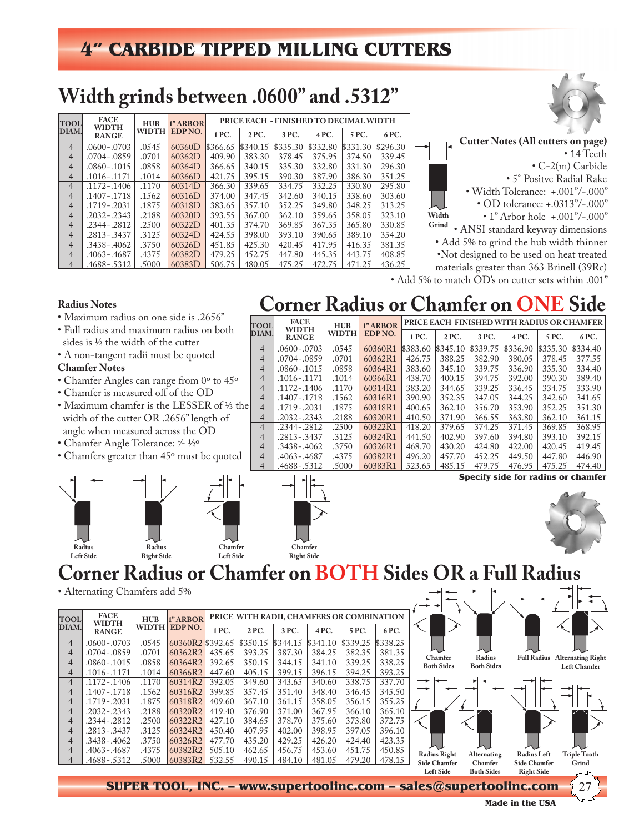# **Width grinds between .0600" and .5312"**

| <b>TOOL</b>    | <b>FACE</b><br><b>WIDTH</b> | <b>HUB</b>   | PRICE EACH - FINISHED TO DECIMAL WIDTH<br>1" ARBOR |          |          |          |          |          |          |  |  |
|----------------|-----------------------------|--------------|----------------------------------------------------|----------|----------|----------|----------|----------|----------|--|--|
| DIAM.          | <b>RANGE</b>                | <b>WIDTH</b> | EDP <sub>NO</sub> .                                | 1 PC.    | 2 PC.    | 3 PC.    | 4 PC.    | 5 PC.    | 6 PC.    |  |  |
| $\overline{4}$ | $.0600 - .0703$             | .0545        | 60360D                                             | \$366.65 | \$340.15 | \$335.30 | \$332.80 | \$331.30 | \$296.30 |  |  |
| $\overline{4}$ | .0704 - .0859               | .0701        | 60362D                                             | 409.90   | 383.30   | 378.45   | 375.95   | 374.50   | 339.45   |  |  |
| $\overline{4}$ | .0860-.1015                 | .0858        | 60364D                                             | 366.65   | 340.15   | 335.30   | 332.80   | 331.30   | 296.30   |  |  |
| $\overline{4}$ | $.1016 - .1171$             | .1014        | 60366D                                             | 421.75   | 395.15   | 390.30   | 387.90   | 386.30   | 351.25   |  |  |
| $\overline{4}$ | $.1172 - .1406$             | .1170        | 60314D                                             | 366.30   | 339.65   | 334.75   | 332.25   | 330.80   | 295.80   |  |  |
| $\overline{4}$ | .1407-.1718                 | .1562        | 60316D                                             | 374.00   | 347.45   | 342.60   | 340.15   | 338.60   | 303.60   |  |  |
| $\overline{4}$ | .1719 - .2031               | .1875        | 60318D                                             | 383.65   | 357.10   | 352.25   | 349.80   | 348.25   | 313.25   |  |  |
| $\overline{4}$ | .2032 - .2343               | .2188        | 60320D                                             | 393.55   | 367.00   | 362.10   | 359.65   | 358.05   | 323.10   |  |  |
| $\overline{4}$ | .2344 - .2812               | .2500        | 60322D                                             | 401.35   | 374.70   | 369.85   | 367.35   | 365.80   | 330.85   |  |  |
| $\overline{4}$ | .2813 - .3437               | .3125        | 60324D                                             | 424.55   | 398.00   | 393.10   | 390.65   | 389.10   | 354.20   |  |  |
| $\overline{4}$ | $.3438 - .4062$             | .3750        | 60326D                                             | 451.85   | 425.30   | 420.45   | 417.95   | 416.35   | 381.35   |  |  |
| $\overline{4}$ | .4063 - .4687               | .4375        | 60382D                                             | 479.25   | 452.75   | 447.80   | 445.35   | 443.75   | 408.85   |  |  |
| $\overline{4}$ | .4688-.5312                 | .5000        | 60383D                                             | 506.75   | 480.05   | 475.25   | 472.75   | 471.25   | 436.25   |  |  |

**Width Grind Cutter Notes (All cutters on page)** • 14 Teeth • C-2(m) Carbide • 5° Positve Radial Rake • Width Tolerance: +.001"/-.000" • OD tolerance: +.0313"/-.000" • 1" Arbor hole +.001"/-.000" • ANSI standard keyway dimensions • Add 5% to grind the hub width thinner •Not designed to be used on heat treated materials greater than 363 Brinell (39Rc) • Add 5% to match OD's on cutter sets within .001"

#### **Radius Notes**

- Maximum radius on one side is .2656"
- Full radius and maximum radius on both sides is 1/2 the width of the cutter
- A non-tangent radii must be quoted

#### **Chamfer Notes**

- Chamfer Angles can range from 0º to 45º
- Chamfer is measured off of the OD
- Maximum chamfer is the LESSER of 1/3 the width of the cutter OR .2656" length of angle when measured across the OD
- Chamfer Angle Tolerance: ½ ½
- Chamfers greater than 45º must be quoted



# **Corner Radius or Chamfer on ONE Side**

| <b>TOOL</b>    | <b>FACE</b><br><b>WIDTH</b> | <b>HUB</b> | 1" ARBOR            | PRICE EACH FINISHED WITH RADIUS OR CHAMFER |          |          |          |          |          |  |  |
|----------------|-----------------------------|------------|---------------------|--------------------------------------------|----------|----------|----------|----------|----------|--|--|
| DIAM.          | <b>RANGE</b>                | WIDTH      | EDP <sub>NO</sub> . | 1 PC.                                      | 2 PC.    | 3 PC.    | 4 PC.    | 5 PC.    | 6 PC.    |  |  |
| $\overline{4}$ | $.0600 - .0703$             | .0545      | 60360R1             | \$383.60                                   | \$345.10 | \$339.75 | \$336.90 | \$335.30 | \$334.40 |  |  |
| $\overline{4}$ | .0704 - .0859               | .0701      | 60362R1             | 426.75                                     | 388.25   | 382.90   | 380.05   | 378.45   | 377.55   |  |  |
| $\overline{4}$ | $.0860 - .1015$             | .0858      | 60364R1             | 383.60                                     | 345.10   | 339.75   | 336.90   | 335.30   | 334.40   |  |  |
| $\overline{4}$ | .1016-.1171                 | .1014      | 60366R1             | 438.70                                     | 400.15   | 394.75   | 392.00   | 390.30   | 389.40   |  |  |
| $\overline{4}$ | $.1172 - .1406$             | .1170      | 60314R1             | 383.20                                     | 344.65   | 339.25   | 336.45   | 334.75   | 333.90   |  |  |
| $\overline{4}$ | .1407-.1718                 | .1562      | 60316R1             | 390.90                                     | 352.35   | 347.05   | 344.25   | 342.60   | 341.65   |  |  |
| $\overline{4}$ | .1719 - .2031               | .1875      | 60318R1             | 400.65                                     | 362.10   | 356.70   | 353.90   | 352.25   | 351.30   |  |  |
| $\overline{4}$ | $.2032 - .2343$             | .2188      | 60320R1             | 410.50                                     | 371.90   | 366.55   | 363.80   | 362.10   | 361.15   |  |  |
| $\overline{4}$ | .2344 - .2812               | .2500      | 60322R1             | 418.20                                     | 379.65   | 374.25   | 371.45   | 369.85   | 368.95   |  |  |
| $\overline{4}$ | .2813 - .3437               | .3125      | 60324R1             | 441.50                                     | 402.90   | 397.60   | 394.80   | 393.10   | 392.15   |  |  |
| $\overline{4}$ | .3438 - .4062               | .3750      | 60326R1             | 468.70                                     | 430.20   | 424.80   | 422.00   | 420.45   | 419.45   |  |  |
| $\overline{4}$ | $.4063 - .4687$             | .4375      | 60382R1             | 496.20                                     | 457.70   | 452.25   | 449.50   | 447.80   | 446.90   |  |  |
| $\overline{4}$ | .4688-.5312                 | .5000      | 60383R1             | 523.65                                     | 485.15   | 479.75   | 476.95   | 475.25   | 474.40   |  |  |





27

# Corner Radius or Chamfer on BOTH Sides OR a Full Radius<br>
Alternating Chamfers add 5%

**Chamfer Right Side**

• Alternating Chamfers add 5%

| <b>TOOL</b> | <b>FACE</b><br>WIDTH | <b>HUB</b>   | 1"ARBOR          |        |          | PRICE WITH RADII, CHAMFERS OR COMBINATION |        |          |          |                          |                         |                         | .                                               |
|-------------|----------------------|--------------|------------------|--------|----------|-------------------------------------------|--------|----------|----------|--------------------------|-------------------------|-------------------------|-------------------------------------------------|
| DIAM.       | <b>RANGE</b>         | <b>WIDTH</b> | EDP NO.          | 1 PC.  | 2 PC.    | 3 PC.                                     | 4PC.   | 5 PC.    | 6 PC.    |                          |                         |                         |                                                 |
| 4           | $.0600 - .0703$      | .0545        | 60360R2 \$392.65 |        | \$350.15 | $$344.15$ \$341.10                        |        | \$339.25 | \$338.25 |                          |                         |                         |                                                 |
|             | $.0704 - .0859$      | .0701        | 60362R2          | 435.65 | 393.25   | 387.30                                    | 384.25 | 382.35   | 381.35   | ハナ<br>Chamfer            | д.<br>Radius            | <b>Full Radius</b>      |                                                 |
|             | $.0860 - .1015$      | .0858        | 60364R2          | 392.65 | 350.15   | 344.15                                    | 341.10 | 339.25   | 338.25   | <b>Both Sides</b>        | <b>Both Sides</b>       |                         | <b>Alternating Right</b><br><b>Left Chamfer</b> |
|             | $.1016 - .1171$      | .1014        | 60366R2          | 447.60 | 405.15   | 399.15                                    | 396.15 | 394.25   | 393.25   |                          |                         |                         |                                                 |
| 4           | $.1172 - .1406$      | .1170        | 60314R2          | 392.05 | 349.60   | 343.65                                    | 340.60 | 338.75   | 337.70   |                          |                         |                         |                                                 |
|             | $.1407 - .1718$      | .1562        | 60316R2          | 399.85 | 357.45   | 351.40                                    | 348.40 | 346.45   | 345.50   |                          |                         |                         |                                                 |
|             | .1719 - .2031        | .1875        | 60318R2          | 409.60 | 367.10   | 361.15                                    | 358.05 | 356.15   | 355.25   |                          |                         |                         |                                                 |
| 4           | $.2032 - .2343$      | .2188        | 60320R2          | 419.40 | 376.90   | 371.00                                    | 367.95 | 366.10   | 365.10   |                          |                         |                         |                                                 |
| 4           | .2344 - .2812        | .2500        | 60322R2          | 427.10 | 384.65   | 378.70                                    | 375.60 | 373.80   | 372.75   |                          |                         |                         |                                                 |
|             | .2813 - .3437        | .3125        | 60324R2          | 450.40 | 407.95   | 402.00                                    | 398.95 | 397.05   | 396.10   |                          |                         |                         |                                                 |
|             | $.3438 - .4062$      | .3750        | 60326R2          | 477.70 | 435.20   | 429.25                                    | 426.20 | 424.40   | 423.35   |                          |                         |                         |                                                 |
|             | $.4063 - .4687$      | .4375        | 60382R2          | 505.10 | 462.65   | 456.75                                    | 453.60 | 451.75   | 450.85   | ᅛ<br><b>Radius Right</b> | ᅛ<br><b>Alternating</b> | ᄉ<br><b>Radius Left</b> | ハー<br><b>Triple Tooth</b>                       |
|             | .4688-.5312          | .5000        | 60383R2          | 532.55 | 490.15   | 484.10                                    | 481.05 | 479.20   | 478.15   | <b>Side Chamfer</b>      | Chamfer                 | <b>Side Chamfer</b>     | Grind                                           |
|             |                      |              |                  |        |          |                                           |        |          |          | <b>Left Side</b>         | <b>Both Sides</b>       | <b>Right Side</b>       | ∽∽                                              |

**SUPER TOOL, INC. – www.supertoolinc.com – sales@supertoolinc.com**

**Made in the USA**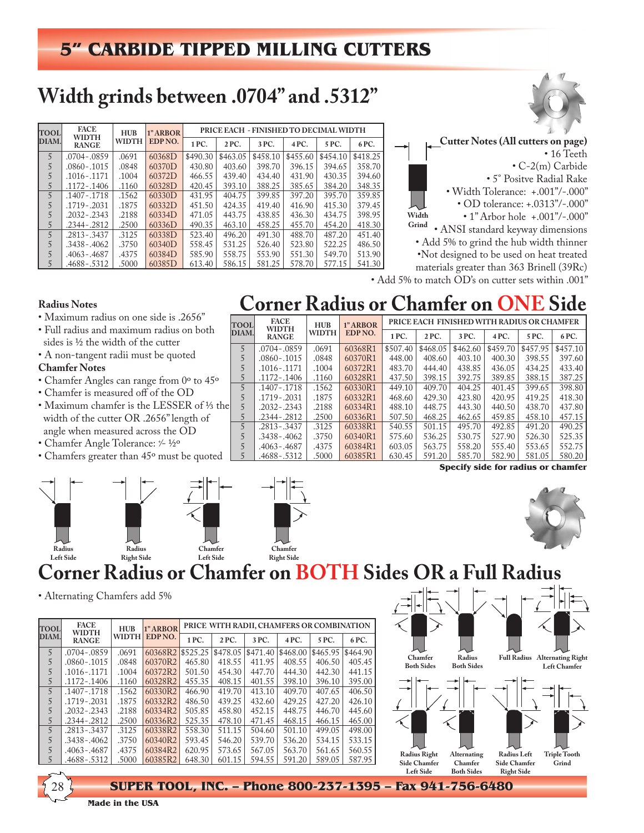# **Width grinds between .0704" and .5312"**

| <b>TOOL</b>    | <b>FACE</b><br><b>WIDTH</b> | <b>HUB</b>   | 1" ARBOR |          |          | PRICE EACH - FINISHED TO DECIMAL WIDTH |          |          |          |
|----------------|-----------------------------|--------------|----------|----------|----------|----------------------------------------|----------|----------|----------|
| DIAM.          | <b>RANGE</b>                | <b>WIDTH</b> | EDP NO.  | 1 PC.    | 2 PC.    | 3 PC.                                  | 4 PC.    | 5 PC.    | 6 PC.    |
| 5              | .0704 - .0859               | .0691        | 60368D   | \$490.30 | \$463.05 | \$458.10                               | \$455.60 | \$454.10 | \$418.25 |
|                | .0860-.1015                 | .0848        | 60370D   | 430.80   | 403.60   | 398.70                                 | 396.15   | 394.65   | 358.70   |
|                | .1016 - .1171               | .1004        | 60372D   | 466.55   | 439.40   | 434.40                                 | 431.90   | 430.35   | 394.60   |
| 5              | .1172-.1406                 | .1160        | 60328D   | 420.45   | 393.10   | 388.25                                 | 385.65   | 384.20   | 348.35   |
| $\overline{5}$ | $.1407 - .1718$             | .1562        | 60330D   | 431.95   | 404.75   | 399.85                                 | 397.20   | 395.70   | 359.85   |
|                | $.1719 - .2031$             | .1875        | 60332D   | 451.50   | 424.35   | 419.40                                 | 416.90   | 415.30   | 379.45   |
| 5              | $.2032 - .2343$             | .2188        | 60334D   | 471.05   | 443.75   | 438.85                                 | 436.30   | 434.75   | 398.95   |
|                | .2344 - .2812               | .2500        | 60336D   | 490.35   | 463.10   | 458.25                                 | 455.70   | 454.20   | 418.30   |
| $\overline{5}$ | .2813 - .3437               | .3125        | 60338D   | 523.40   | 496.20   | 491.30                                 | 488.70   | 487.20   | 451.40   |
|                | $.3438 - .4062$             | .3750        | 60340D   | 558.45   | 531.25   | 526.40                                 | 523.80   | 522.25   | 486.50   |
|                | .4063 - .4687               | .4375        | 60384D   | 585.90   | 558.75   | 553.90                                 | 551.30   | 549.70   | 513.90   |
|                | .4688-.5312                 | .5000        | 60385D   | 613.40   | 586.15   | 581.25                                 | 578.70   | 577.15   | 541.30   |

**Cutter Notes (All cutters on page)** • 16 Teeth • C-2(m) Carbide • 5° Positve Radial Rake • Width Tolerance: +.001"/-.000" • OD tolerance: +.0313"/-.000" • 1" Arbor hole +.001"/-.000" • ANSI standard keyway dimensions • Add 5% to grind the hub width thinner •Not designed to be used on heat treated materials greater than 363 Brinell (39Rc) • Add 5% to match OD's on cutter sets within .001" **Width Grind**

#### **Radius Notes**

- Maximum radius on one side is .2656"
- Full radius and maximum radius on both sides is 1/2 the width of the cutter
- A non-tangent radii must be quoted

#### **Chamfer Notes**

- Chamfer Angles can range from 0º to 45º
- Chamfer is measured off of the OD
- Maximum chamfer is the LESSER of 1/3 the width of the cutter OR .2656" length of angle when measured across the OD
- Chamfer Angle Tolerance: ½ ½
- Chamfers greater than 45º must be quoted



# **Corner Radius or Chamfer on ONE Side**

| <b>TOOL</b> | <b>FACE</b><br><b>WIDTH</b> | <b>HUB</b>   | 1" ARBOR            | PRICE EACH FINISHED WITH RADIUS OR CHAMFER |          |          |          |          |          |  |  |  |
|-------------|-----------------------------|--------------|---------------------|--------------------------------------------|----------|----------|----------|----------|----------|--|--|--|
| DIAM.       | <b>RANGE</b>                | <b>WIDTH</b> | EDP <sub>NO</sub> . | 1 PC.                                      | 2 PC.    | 3 PC.    | 4 PC.    | 5 PC.    | 6 PC.    |  |  |  |
| 5           | $.0704 - .0859$             | .0691        | 60368R1             | \$507.40                                   | \$468.05 | \$462.60 | \$459.70 | \$457.95 | \$457.10 |  |  |  |
|             | $.0860 - .1015$             | .0848        | 60370R1             | 448.00                                     | 408.60   | 403.10   | 400.30   | 398.55   | 397.60   |  |  |  |
|             | $.1016 - .1171$             | .1004        | 60372R1             | 483.70                                     | 444.40   | 438.85   | 436.05   | 434.25   | 433.40   |  |  |  |
|             | .1172-.1406                 | .1160        | 60328R1             | 437.50                                     | 398.15   | 392.75   | 389.85   | 388.15   | 387.25   |  |  |  |
| 5           | .1407 - .1718               | .1562        | 60330R1             | 449.10                                     | 409.70   | 404.25   | 401.45   | 399.65   | 398.80   |  |  |  |
|             | .1719 - .2031               | .1875        | 60332R1             | 468.60                                     | 429.30   | 423.80   | 420.95   | 419.25   | 418.30   |  |  |  |
|             | $.2032 - .2343$             | .2188        | 60334R1             | 488.10                                     | 448.75   | 443.30   | 440.50   | 438.70   | 437.80   |  |  |  |
|             | .2344 - .2812               | .2500        | 60336R1             | 507.50                                     | 468.25   | 462.65   | 459.85   | 458.10   | 457.15   |  |  |  |
|             | $.2813 - .3437$             | .3125        | 60338R1             | 540.55                                     | 501.15   | 495.70   | 492.85   | 491.20   | 490.25   |  |  |  |
|             | $.3438 - .4062$             | .3750        | 60340R1             | 575.60                                     | 536.25   | 530.75   | 527.90   | 526.30   | 525.35   |  |  |  |
|             | $.4063 - .4687$             | .4375        | 60384R1             | 603.05                                     | 563.75   | 558.20   | 555.40   | 553.65   | 552.75   |  |  |  |
| 5           | .4688-.5312                 | .5000        | 60385R1             | 630.45                                     | 591.20   | 585.70   | 582.90   | 581.05   | 580.20   |  |  |  |

**Specify side for radius or chamfer**



# **Corner Radius or Chamfer on BOTH Sides OR a Full Radius**

• Alternating Chamfers add 5%

| <b>TOOL</b>    | <b>FACE</b><br><b>WIDTH</b> | <b>HUB</b>   | 1" ARBOR            |          | PRICE WITH RADII, CHAMFERS OR COMBINATION |          |          |          |          |
|----------------|-----------------------------|--------------|---------------------|----------|-------------------------------------------|----------|----------|----------|----------|
| DIAM.          | <b>RANGE</b>                | <b>WIDTH</b> | EDP <sub>NO</sub> . | 1 PC.    | 2 PC.                                     | 3 PC.    | 4PC.     | 5 PC.    | 6 PC.    |
| 5              | .0704-.0859                 | .0691        | 60368R2             | \$525.25 | \$478.05                                  | \$471.40 | \$468.00 | \$465.95 | \$464.90 |
| 5              | $.0860 - .1015$             | .0848        | 60370R2             | 465.80   | 418.55                                    | 411.95   | 408.55   | 406.50   | 405.45   |
| 5              | .1016-.1171                 | .1004        | 60372R2             | 501.50   | 454.30                                    | 447.70   | 444.30   | 442.30   | 441.15   |
| 5              | $.1172 - .1406$             | .1160        | 60328R2             | 455.35   | 408.15                                    | 401.55   | 398.10   | 396.10   | 395.00   |
| 5              | $.1407 - .1718$             | .1562        | 60330R2             | 466.90   | 419.70                                    | 413.10   | 409.70   | 407.65   | 406.50   |
| 5              | .1719 - .2031               | .1875        | 60332R2             | 486.50   | 439.25                                    | 432.60   | 429.25   | 427.20   | 426.10   |
| 5              | $.2032 - .2343$             | .2188        | 60334R2             | 505.85   | 458.80                                    | 452.15   | 448.75   | 446.70   | 445.60   |
| 5              | .2344 - .2812               | .2500        | 60336R2             | 525.35   | 478.10                                    | 471.45   | 468.15   | 466.15   | 465.00   |
| $\overline{5}$ | $.2813 - .3437$             | .3125        | 60338R2             | 558.30   | 511.15                                    | 504.60   | 501.10   | 499.05   | 498.00   |
|                | $.3438 - .4062$             | .3750        | 60340R2             | 593.45   | 546.20                                    | 539.70   | 536.20   | 534.15   | 533.15   |
| 5              | .4063-.4687                 | .4375        | 60384R2             | 620.95   | 573.65                                    | 567.05   | 563.70   | 561.65   | 560.55   |
|                | .4688-.5312                 | .5000        | 60385R2             | 648.30   | 601.15                                    | 594.55   | 591.20   | 589.05   | 587.95   |



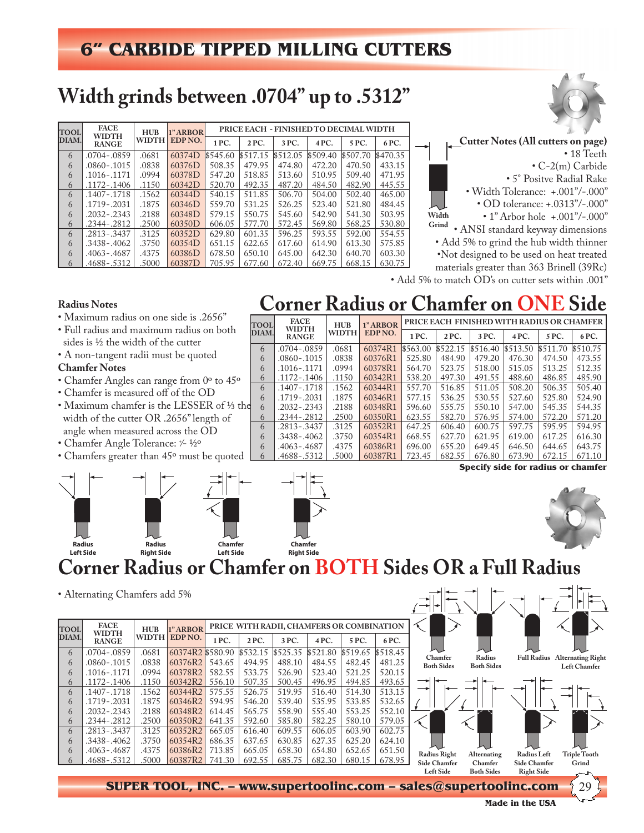## **Width grinds between .0704" up to .5312"**

| <b>TOOL</b> | <b>FACE</b><br><b>WIDTH</b> | <b>HUB</b>   | 1" ARBOR | PRICE EACH - FINISHED TO DECIMAL WIDTH |          |          |          |          |          |  |  |
|-------------|-----------------------------|--------------|----------|----------------------------------------|----------|----------|----------|----------|----------|--|--|
| DIAM.       | <b>RANGE</b>                | <b>WIDTH</b> | EDP NO.  | 1 PC.                                  | 2 PC.    | 3 PC.    | 4 PC.    | 5 PC.    | 6 PC.    |  |  |
| 6           | .0704-.0859                 | .0681        | 60374D   | \$545.60                               | \$517.15 | \$512.05 | \$509.40 | \$507.70 | \$470.35 |  |  |
| 6           | $.0860 - .1015$             | .0838        | 60376D   | 508.35                                 | 479.95   | 474.80   | 472.20   | 470.50   | 433.15   |  |  |
| 6           | .1016-.1171                 | .0994        | 60378D   | 547.20                                 | 518.85   | 513.60   | 510.95   | 509.40   | 471.95   |  |  |
| 6           | .1172-.1406                 | .1150        | 60342D   | 520.70                                 | 492.35   | 487.20   | 484.50   | 482.90   | 445.55   |  |  |
| 6           | $.1407 - .1718$             | .1562        | 60344D   | 540.15                                 | 511.85   | 506.70   | 504.00   | 502.40   | 465.00   |  |  |
| 6           | .1719 - .2031               | .1875        | 60346D   | 559.70                                 | 531.25   | 526.25   | 523.40   | 521.80   | 484.45   |  |  |
| 6           | $.2032 - .2343$             | .2188        | 60348D   | 579.15                                 | 550.75   | 545.60   | 542.90   | 541.30   | 503.95   |  |  |
| 6           | .2344-.2812                 | .2500        | 60350D   | 606.05                                 | 577.70   | 572.45   | 569.80   | 568.25   | 530.80   |  |  |
| 6           | .2813 - .3437               | .3125        | 60352D   | 629.80                                 | 601.35   | 596.25   | 593.55   | 592.00   | 554.55   |  |  |
| 6           | .3438-.4062                 | .3750        | 60354D   | 651.15                                 | 622.65   | 617.60   | 614.90   | 613.30   | 575.85   |  |  |
| 6           | $.4063 - .4687$             | .4375        | 60386D   | 678.50                                 | 650.10   | 645.00   | 642.30   | 640.70   | 603.30   |  |  |
| 6           | .4688-.5312                 | .5000        | 60387D   | 705.95                                 | 677.60   | 672.40   | 669.75   | 668.15   | 630.75   |  |  |

**TOOL DIAM.**

**FACE WIDTH RANGE**

**HUB WIDTH** **1" ARBOR EDP NO.**

6 .0704-.0859 .0681 60374R1 \$563.00 \$522.15 \$516.40 \$513.50 \$511.70 \$510.75 6 .0860-.1015 .0838 .0376R1 525.80 484.90 479.20 476.30 474.50 473.55 6 .1016-.1171 .0994 60378R1 564.70 523.75 518.00 515.05 513.25 512.35 6 .1172-.1406 .1150 60342R1 538.20 497.30 491.55 488.60 486.85 485.90 6  $\frac{1.1407 - 1.718}{1.1662}$   $\frac{1.662}{60344R1}$  557.70 516.85 511.05 508.20 506.35 505.40<br>6 .1719 - 2031 .1875 60346R1 577.15 536.25 530.55 527.60 525.80 524.90 6 .1719-.2031 .1875 60346R1 577.15 536.25 530.55 527.60 525.80 524.90 6 .2032-.2343 .2188 .20348R1 596.60 555.75 550.10 547.00 545.35 544.35 6 .2344-.2812 .2500 60350R1 623.55 582.70 576.95 574.00 572.20 571.20 6 .2813-.3437 .3125  $\mid$  60352R1  $\mid$  647.25  $\mid$  606.40  $\mid$  600.75  $\mid$  597.75  $\mid$  595.95  $\mid$  594.95 6 .3438-.4062 .3750 .60354R1 668.55 627.70 621.95 619.00 617.25 616.30

 $\frac{1}{\sqrt{2}}$ 

**Corner Radius or Chamfer on ONE Side**



**Width Grind Cutter Notes (All cutters on page)** • 18 Teeth • C-2(m) Carbide • 5° Positve Radial Rake • Width Tolerance: +.001"/-.000" • OD tolerance: +.0313"/-.000" • 1" Arbor hole +.001"/-.000" • ANSI standard keyway dimensions • Add 5% to grind the hub width thinner •Not designed to be used on heat treated materials greater than 363 Brinell (39Rc)

• Add 5% to match OD's on cutter sets within .001"

**PRICE EACH FINISHED WITH RADIUS OR CHAMFER 1 PC. 2 PC. 3 PC. 4 PC. 5 PC. 6 PC.**

#### **Radius Notes**

- Maximum radius on one side is .2656"
- Full radius and maximum radius on both sides is 1/2 the width of the cutter
- A non-tangent radii must be quoted

#### **Chamfer Notes**

**Radius Left Side**

- Chamfer Angles can range from 0º to 45º
- Chamfer is measured off of the OD
- Maximum chamfer is the LESSER of 1/3 the width of the cutter OR .2656" length of angle when measured across the OD
- Chamfer Angle Tolerance:  $\frac{1}{2}$ <sup>o</sup>
- Chamfers greater than 45º must be quoted

**Radius Right Side**



<u>6 | .4688-.5312 | .5000 | 60387R1 | 723.45 | 682.55 | 676.80 | 673.90 | 672.15 | 671.10</u> **Specify side for radius or chamfer**



• Alternating Chamfers add 5%

|                 | .                   |          |          |          |          |                                           |        |                  |              |                              |             |
|-----------------|---------------------|----------|----------|----------|----------|-------------------------------------------|--------|------------------|--------------|------------------------------|-------------|
|                 |                     |          |          |          |          | PRICE WITH RADII, CHAMFERS OR COMBINATION |        | 1" ARBOR         | <b>HUB</b>   | <b>FACE</b>                  | <b>TOOL</b> |
|                 |                     | 6 PC.    | 5 PC.    | 4 PC.    | 3 PC.    | 2 PC.                                     | 1 PC.  | EDP NO.          | <b>WIDTH</b> | <b>WIDTH</b><br><b>RANGE</b> | DIAM.       |
| ᄉ<br>Radius     | ハコ<br>Chamfer       | \$518.45 | \$519.65 | \$521.80 | \$525.35 | \$532.15                                  |        | 60374R2 \$580.90 | .0681        | .0704 - .0859                | 6           |
| <b>Both Sid</b> | <b>Both Sides</b>   | 481.25   | 482.45   | 484.55   | 488.10   | 494.95                                    | 543.65 | 60376R2          | .0838        | .0860-.1015                  | 6           |
|                 |                     | 520.15   | 521.25   | 523.40   | 526.90   | 533.75                                    | 582.55 | 60378R2          | .0994        | .1016-.1171                  | 6           |
|                 |                     | 493.65   | 494.85   | 496.95   | 500.45   | 507.35                                    | 556.10 | 60342R2          | .1150        | .1172-.1406                  | 6           |
|                 |                     | 513.15   | 514.30   | 516.40   | 519.95   | 526.75                                    | 575.55 | 60344R2          | .1562        | .1407 - .1718                | 6           |
|                 |                     | 532.65   | 533.85   | 535.95   | 539.40   | 546.20                                    | 594.95 | 60346R2          | .1875        | .1719 - .2031                | 6           |
|                 |                     | 552.10   | 553.25   | 555.40   | 558.90   | 565.75                                    | 614.45 | 60348R2          | .2188        | $.2032 - .2343$              | 6           |
|                 |                     | 579.05   | 580.10   | 582.25   | 585.80   | 592.60                                    | 641.35 | 60350R2          | .2500        | .2344-.2812                  | 6           |
|                 |                     | 602.75   | 603.90   | 606.05   | 609.55   | 616.40                                    | 665.05 | 60352R2          | .3125        | .2813 - .3437                | 6           |
|                 |                     | 624.10   | 625.20   | 627.35   | 630.85   | 637.65                                    | 686.35 | 60354R2          | .3750        | $.3438 - .4062$              | 6           |
| ハナ<br>Alternati | <b>Radius Right</b> | 651.50   | 652.65   | 654.80   | 658.30   | 665.05                                    | 713.85 | 60386R2          | .4375        | .4063 - .4687                | 6           |
| Chamfe          | <b>Side Chamfer</b> | 678.95   | 680.15   | 682.30   | 685.75   | 692.55                                    | 741.30 | 60387R2          | .5000        | .4688-.5312                  | 6           |
| <b>Both Sid</b> | Left Side           |          |          |          |          |                                           |        |                  |              |                              |             |

**Chamfer Left Side**

> **Both Sides Alternating Right Left Chamfer**

**Full Radius**



**SUPER TOOL, INC. – www.supertoolinc.com – sales@supertoolinc.com**

**Made in the USA**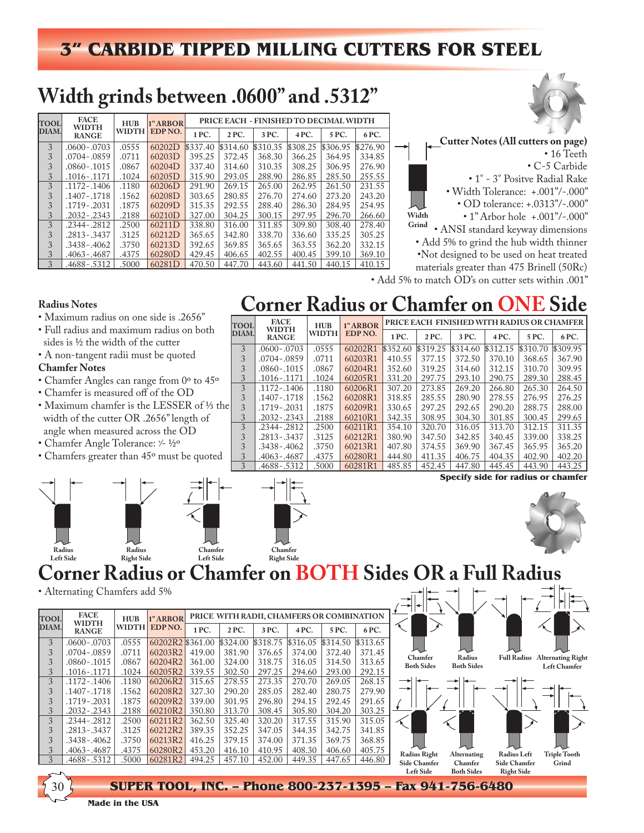## **Width grinds between .0600" and .5312"**

| <b>TOOL</b> | <b>FACE</b><br>WIDTH | <b>HUB</b> | 1" ARBOR | PRICE EACH - FINISHED TO DECIMAL WIDTH |          |          |          |          |          |
|-------------|----------------------|------------|----------|----------------------------------------|----------|----------|----------|----------|----------|
| DIAM.       | <b>RANGE</b>         | WIDTH      | EDP NO.  | 1 PC.                                  | 2 PC.    | 3 PC.    | 4PC.     | 5 PC.    | 6 PC.    |
| 3           | $.0600 - .0703$      | .0555      | 60202D   | \$337.40                               | \$314.60 | \$310.35 | \$308.25 | \$306.95 | \$276.90 |
| 3           | .0704-.0859          | .0711      | 60203D   | 395.25                                 | 372.45   | 368.30   | 366.25   | 364.95   | 334.85   |
| 3           | .0860-.1015          | .0867      | 60204D   | 337.40                                 | 314.60   | 310.35   | 308.25   | 306.95   | 276.90   |
| 3           | .1016-.1171          | .1024      | 60205D   | 315.90                                 | 293.05   | 288.90   | 286.85   | 285.50   | 255.55   |
| 3           | $.1172 - .1406$      | .1180      | 60206D   | 291.90                                 | 269.15   | 265.00   | 262.95   | 261.50   | 231.55   |
| 3           | .1407-.1718          | .1562      | 60208D   | 303.65                                 | 280.85   | 276.70   | 274.60   | 273.20   | 243.20   |
| 3           | .1719 - .2031        | .1875      | 60209D   | 315.35                                 | 292.55   | 288.40   | 286.30   | 284.95   | 254.95   |
| 3           | $.2032 - .2343$      | .2188      | 60210D   | 327.00                                 | 304.25   | 300.15   | 297.95   | 296.70   | 266.60   |
| 3           | .2344-.2812          | .2500      | 60211D   | 338.80                                 | 316.00   | 311.85   | 309.80   | 308.40   | 278.40   |
| 3           | .2813 - .3437        | .3125      | 60212D   | 365.65                                 | 342.80   | 338.70   | 336.60   | 335.25   | 305.25   |
| 3           | $.3438 - .4062$      | .3750      | 60213D   | 392.65                                 | 369.85   | 365.65   | 363.55   | 362.20   | 332.15   |
| 3           | .4063 - .4687        | .4375      | 60280D   | 429.45                                 | 406.65   | 402.55   | 400.45   | 399.10   | 369.10   |
| 3           | .4688-.5312          | .5000      | 60281D   | 470.50                                 | 447.70   | 443.60   | 441.50   | 440.15   | 410.15   |



**Cutter Notes (All cutters on page)** • 16 Teeth • C-5 Carbide • 1° - 3° Positve Radial Rake • Width Tolerance: +.001"/-.000" • OD tolerance: +.0313"/-.000" • 1" Arbor hole +.001"/-.000" • ANSI standard keyway dimensions • Add 5% to grind the hub width thinner •Not designed to be used on heat treated materials greater than 475 Brinell (50Rc) • Add 5% to match OD's on cutter sets within .001" **Width Grind**

#### **Radius Notes**

- Maximum radius on one side is .2656"
- Full radius and maximum radius on both sides is 1/2 the width of the cutter
- A non-tangent radii must be quoted

#### **Chamfer Notes**

- Chamfer Angles can range from 0º to 45º
- Chamfer is measured off of the OD
- Maximum chamfer is the LESSER of 1/3 the width of the cutter OR .2656" length of angle when measured across the OD
- Chamfer Angle Tolerance: ½ ½
- Chamfers greater than 45º must be quoted



# **Corner Radius or Chamfer on ONE Side**

| <b>TOOL</b> | <b>FACE</b><br><b>WIDTH</b> | 1" ARBOR<br><b>HUB</b> |         | PRICE EACH FINISHED WITH RADIUS OR CHAMFER |          |          |          |          |          |  |  |
|-------------|-----------------------------|------------------------|---------|--------------------------------------------|----------|----------|----------|----------|----------|--|--|
| DIAM.       | <b>RANGE</b>                | <b>WIDTH</b>           | EDP NO. | 1 PC.                                      | 2 PC.    | 3 PC.    | 4 PC.    | 5 PC.    | 6 PC.    |  |  |
| 3           | $.0600 - .0703$             | .0555                  | 60202R1 | \$352.60                                   | \$319.25 | \$314.60 | \$312.15 | \$310.70 | \$309.95 |  |  |
| 3           | $.0704 - .0859$             | .0711                  | 60203R1 | 410.55                                     | 377.15   | 372.50   | 370.10   | 368.65   | 367.90   |  |  |
| 3           | $.0860 - .1015$             | .0867                  | 60204R1 | 352.60                                     | 319.25   | 314.60   | 312.15   | 310.70   | 309.95   |  |  |
| 3           | $.1016 - .1171$             | .1024                  | 60205R1 | 331.20                                     | 297.75   | 293.10   | 290.75   | 289.30   | 288.45   |  |  |
| 3           | $.1172 - .1406$             | .1180                  | 60206R1 | 307.20                                     | 273.85   | 269.20   | 266.80   | 265.30   | 264.50   |  |  |
| 3           | .1407 - .1718               | .1562                  | 60208R1 | 318.85                                     | 285.55   | 280.90   | 278.55   | 276.95   | 276.25   |  |  |
| 3           | $.1719 - .2031$             | .1875                  | 60209R1 | 330.65                                     | 297.25   | 292.65   | 290.20   | 288.75   | 288.00   |  |  |
| 3           | $.2032 - .2343$             | .2188                  | 60210R1 | 342.35                                     | 308.95   | 304.30   | 301.85   | 300.45   | 299.65   |  |  |
| 3           | .2344 - .2812               | .2500                  | 60211R1 | 354.10                                     | 320.70   | 316.05   | 313.70   | 312.15   | 311.35   |  |  |
| 3           | $.2813 - .3437$             | .3125                  | 60212R1 | 380.90                                     | 347.50   | 342.85   | 340.45   | 339.00   | 338.25   |  |  |
| 3           | $.3438 - .4062$             | .3750                  | 60213R1 | 407.80                                     | 374.55   | 369.90   | 367.45   | 365.95   | 365.20   |  |  |
| 3           | $.4063 - .4687$             | .4375                  | 60280R1 | 444.80                                     | 411.35   | 406.75   | 404.35   | 402.90   | 402.20   |  |  |
| 3           | .4688-.5312                 | .5000                  | 60281R1 | 485.85                                     | 452.45   | 447.80   | 445.45   | 443.90   | 443.25   |  |  |

**Specify side for radius or chamfer**



• Alternating Chamfers add 5%

| <b>TOOL</b> | <b>FACE</b><br>WIDTH | <b>HUB</b> | 1"ARBOR             |        |          | PRICE WITH RADII, CHAMFERS OR COMBINATION |          |          |          |   |
|-------------|----------------------|------------|---------------------|--------|----------|-------------------------------------------|----------|----------|----------|---|
| DIAM.       | <b>RANGE</b>         | WIDTH      | EDP <sub>NO</sub> . | 1 PC.  | 2 PC.    | 3 PC.                                     | 4 PC.    | 5 PC.    | 6 PC.    | 不 |
| 3           | $.0600 - .0703$      | .0555      | 60202R2 \$361.00    |        | \$324.00 | \$318.75                                  | \$316.05 | \$314.50 | \$313.65 |   |
| 3           | $.0704 - .0859$      | .0711      | 60203R2             | 419.00 | 381.90   | 376.65                                    | 374.00   | 372.40   | 371.45   |   |
| 3           | $.0860 - .1015$      | .0867      | 60204R2             | 361.00 | 324.00   | 318.75                                    | 316.05   | 314.50   | 313.65   |   |
| 3           | $.1016 - .1171$      | .1024      | 60205R2             | 339.55 | 302.50   | 297.25                                    | 294.60   | 293.00   | 292.15   |   |
| 3           | $.1172 - .1406$      | .1180      | 60206R2             | 315.65 | 278.55   | 273.35                                    | 270.70   | 269.05   | 268.15   |   |
| 3           | $.1407 - .1718$      | .1562      | 60208R2             | 327.30 | 290.20   | 285.05                                    | 282.40   | 280.75   | 279.90   |   |
| 3           | .1719 - .2031        | .1875      | 60209R2             | 339.00 | 301.95   | 296.80                                    | 294.15   | 292.45   | 291.65   |   |
| 3           | $.2032 - .2343$      | .2188      | 60210R2             | 350.80 | 313.70   | 308.45                                    | 305.80   | 304.20   | 303.25   |   |
| 3           | .2344 - .2812        | .2500      | 60211R2             | 362.50 | 325.40   | 320.20                                    | 317.55   | 315.90   | 315.05   | ╱ |
| 3           | $.2813 - .3437$      | .3125      | 60212R2             | 389.35 | 352.25   | 347.05                                    | 344.35   | 342.75   | 341.85   |   |
| 3           | .3438-.4062          | .3750      | 60213R2             | 416.25 | 379.15   | 374.00                                    | 371.35   | 369.75   | 368.85   |   |
| 3           | .4063-.4687          | .4375      | 60280R2             | 453.20 | 416.10   | 410.95                                    | 408.30   | 406.60   | 405.75   |   |
| 3           | .4688-.5312          | .5000      | 60281R2             | 494.25 | 457.10   | 452.00                                    | 449.35   | 447.65   | 446.80   |   |





**Chamfer Right Side**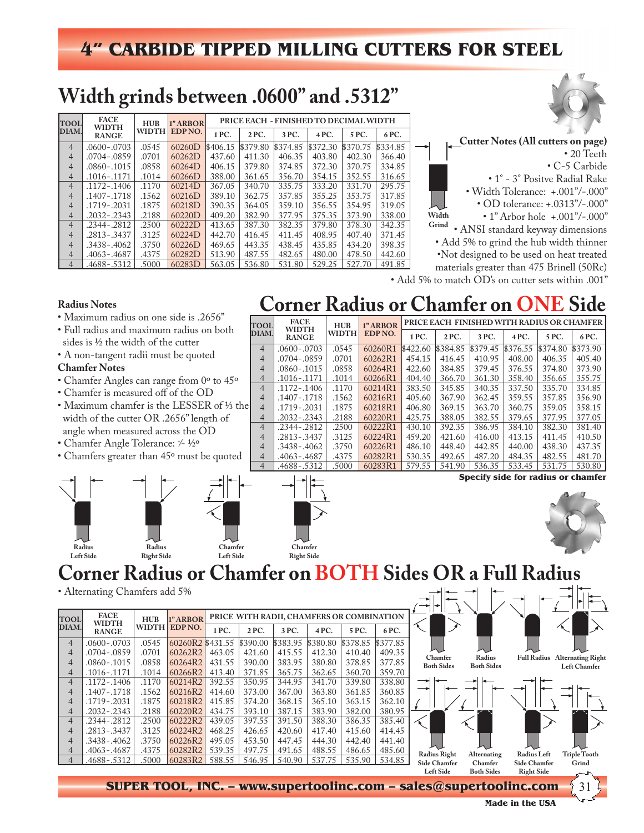**Width grinds between .0600" and .5312"**

| <b>TOOL</b>    | <b>FACE</b><br><b>WIDTH</b> | <b>HUB</b>   | 1" ARBOR            |          |          |          | PRICE EACH - FINISHED TO DECIMAL WIDTH |          |          |
|----------------|-----------------------------|--------------|---------------------|----------|----------|----------|----------------------------------------|----------|----------|
| DIAM.          | <b>RANGE</b>                | <b>WIDTH</b> | EDP <sub>NO</sub> . | 1 PC.    | 2 PC.    | 3 PC.    | 4 PC.                                  | 5 PC.    | 6 PC.    |
| $\overline{4}$ | $.0600 - .0703$             | .0545        | 60260D              | \$406.15 | \$379.80 | \$374.85 | \$372.30                               | \$370.75 | \$334.85 |
| $\overline{4}$ | $.0704 - .0859$             | .0701        | 60262D              | 437.60   | 411.30   | 406.35   | 403.80                                 | 402.30   | 366.40   |
| $\overline{4}$ | $.0860 - .1015$             | .0858        | 60264D              | 406.15   | 379.80   | 374.85   | 372.30                                 | 370.75   | 334.85   |
| $\overline{4}$ | $.1016 - .1171$             | .1014        | 60266D              | 388.00   | 361.65   | 356.70   | 354.15                                 | 352.55   | 316.65   |
| $\overline{4}$ | $.1172 - .1406$             | .1170        | 60214D              | 367.05   | 340.70   | 335.75   | 333.20                                 | 331.70   | 295.75   |
| $\overline{4}$ | .1407-.1718                 | .1562        | 60216D              | 389.10   | 362.75   | 357.85   | 355.25                                 | 353.75   | 317.85   |
| $\overline{4}$ | $.1719 - .2031$             | .1875        | 60218D              | 390.35   | 364.05   | 359.10   | 356.55                                 | 354.95   | 319.05   |
| $\overline{4}$ | .2032 - .2343               | .2188        | 60220D              | 409.20   | 382.90   | 377.95   | 375.35                                 | 373.90   | 338.00   |
| $\overline{4}$ | .2344 - .2812               | .2500        | 60222D              | 413.65   | 387.30   | 382.35   | 379.80                                 | 378.30   | 342.35   |
| $\overline{4}$ | .2813 - .3437               | .3125        | 60224D              | 442.70   | 416.45   | 411.45   | 408.95                                 | 407.40   | 371.45   |
| $\overline{4}$ | $.3438 - .4062$             | .3750        | 60226D              | 469.65   | 443.35   | 438.45   | 435.85                                 | 434.20   | 398.35   |
| $\overline{4}$ | $.4063 - .4687$             | .4375        | 60282D              | 513.90   | 487.55   | 482.65   | 480.00                                 | 478.50   | 442.60   |
| $\overline{4}$ | .4688-.5312                 | .5000        | 60283D              | 563.05   | 536.80   | 531.80   | 529.25                                 | 527.70   | 491.85   |

**Width Grind Cutter Notes (All cutters on page)** • 20 Teeth • C-5 Carbide • 1° - 3° Positve Radial Rake • Width Tolerance: +.001"/-.000" • OD tolerance: +.0313"/-.000" • 1" Arbor hole +.001"/-.000" • ANSI standard keyway dimensions • Add 5% to grind the hub width thinner •Not designed to be used on heat treated materials greater than 475 Brinell (50Rc)

• Add 5% to match OD's on cutter sets within .001"

#### **Radius Notes**

- Maximum radius on one side is .2656"
- Full radius and maximum radius on both sides is 1/2 the width of the cutter
- A non-tangent radii must be quoted

#### **Chamfer Notes**

- Chamfer Angles can range from 0º to 45º
- Chamfer is measured off of the OD
- Maximum chamfer is the LESSER of 1/3 the width of the cutter OR .2656" length of angle when measured across the OD
- Chamfer Angle Tolerance: ½ ½
- Chamfers greater than 45º must be quoted





# **Corner Radius or Chamfer on ONE Side**

| <b>TOOL</b>    | <b>FACE</b><br><b>WIDTH</b> | <b>HUB</b>   | 1" ARBOR | PRICE EACH FINISHED WITH RADIUS OR CHAMFER |          |          |          |          |          |  |  |  |
|----------------|-----------------------------|--------------|----------|--------------------------------------------|----------|----------|----------|----------|----------|--|--|--|
| DIAM.          | <b>RANGE</b>                | <b>WIDTH</b> | EDP NO.  | 1 PC.                                      | 2 PC.    | 3 PC.    | 4 PC.    | 5 PC.    | 6 PC.    |  |  |  |
| $\overline{4}$ | $.0600 - .0703$             | .0545        | 60260R1  | \$422.60                                   | \$384.85 | \$379.45 | \$376.55 | \$374.80 | \$373.90 |  |  |  |
| $\overline{4}$ | $.0704 - .0859$             | .0701        | 60262R1  | 454.15                                     | 416.45   | 410.95   | 408.00   | 406.35   | 405.40   |  |  |  |
| $\overline{4}$ | $.0860 - .1015$             | .0858        | 60264R1  | 422.60                                     | 384.85   | 379.45   | 376.55   | 374.80   | 373.90   |  |  |  |
| $\overline{4}$ | $.1016 - .1171$             | .1014        | 60266R1  | 404.40                                     | 366.70   | 361.30   | 358.40   | 356.65   | 355.75   |  |  |  |
| $\overline{4}$ | $.1172 - .1406$             | .1170        | 60214R1  | 383.50                                     | 345.85   | 340.35   | 337.50   | 335.70   | 334.85   |  |  |  |
| $\overline{4}$ | $.1407 - .1718$             | .1562        | 60216R1  | 405.60                                     | 367.90   | 362.45   | 359.55   | 357.85   | 356.90   |  |  |  |
| $\overline{4}$ | .1719 - .2031               | .1875        | 60218R1  | 406.80                                     | 369.15   | 363.70   | 360.75   | 359.05   | 358.15   |  |  |  |
| $\overline{4}$ | $.2032 - .2343$             | .2188        | 60220R1  | 425.75                                     | 388.05   | 382.55   | 379.65   | 377.95   | 377.05   |  |  |  |
| $\overline{4}$ | .2344 - .2812               | .2500        | 60222R1  | 430.10                                     | 392.35   | 386.95   | 384.10   | 382.30   | 381.40   |  |  |  |
| $\overline{4}$ | .2813-.3437                 | .3125        | 60224R1  | 459.20                                     | 421.60   | 416.00   | 413.15   | 411.45   | 410.50   |  |  |  |
| $\overline{4}$ | $.3438 - .4062$             | .3750        | 60226R1  | 486.10                                     | 448.40   | 442.85   | 440.00   | 438.30   | 437.35   |  |  |  |
| $\overline{4}$ | $.4063 - .4687$             | .4375        | 60282R1  | 530.35                                     | 492.65   | 487.20   | 484.35   | 482.55   | 481.70   |  |  |  |
| $\overline{4}$ | .4688-.5312                 | .5000        | 60283R1  | 579.55                                     | 541.90   | 536.35   | 533.45   | 531.75   | 530.80   |  |  |  |

**Specify side for radius or chamfer**



31

# **Corner Radius or Chamfer on BOTH Sides OR a Full Radius**<br>Alternating Chamfers add 5%

• Alternating Chamfers add 5%

| <b>TOOL</b> | <b>FACE</b><br><b>WIDTH</b> | <b>HUB</b>   | 1"ARBOR             |        | PRICE WITH RADII, CHAMFERS OR COMBINATION |                   |        |          |          |                           |                   |                     |                           |
|-------------|-----------------------------|--------------|---------------------|--------|-------------------------------------------|-------------------|--------|----------|----------|---------------------------|-------------------|---------------------|---------------------------|
| DIAM.       | <b>RANGE</b>                | <b>WIDTH</b> | EDP <sub>NO</sub> . | 1 PC.  | 2 PC.                                     | 3 PC.             | 4PC.   | 5 PC.    | 6 PC.    |                           |                   |                     |                           |
| 4           | $.0600 - .0703$             | .0545        | 60260R2 \$431.55    |        | \$390.00                                  | \$383.95 \$380.80 |        | \$378.85 | \$377.85 |                           |                   |                     |                           |
|             | .0704 - .0859               | .0701        | 60262R2             | 463.05 | 421.60                                    | 415.55            | 412.30 | 410.40   | 409.35   | ᅛ                         | ᅛ                 |                     |                           |
|             | $.0860 - .1015$             | .0858        | 60264R2             | 431.55 | 390.00                                    | 383.95            | 380.80 | 378.85   | 377.85   | Chamfer                   | Radius            | <b>Full Radius</b>  | <b>Alternating Right</b>  |
|             | .1016-.1171                 | .1014        | 60266R2             | 413.40 | 371.85                                    | 365.75            | 362.65 | 360.70   | 359.70   | <b>Both Sides</b>         | <b>Both Sides</b> |                     | <b>Left Chamfer</b>       |
|             | $.1172 - .1406$             | .1170        | 60214R2             | 392.55 | 350.95                                    | 344.95            | 341.70 | 339.80   | 338.80   | →                         |                   |                     |                           |
|             | .1407-.1718                 | .1562        | 60216R2             | 414.60 | 373.00                                    | 367.00            | 363.80 | 361.85   | 360.85   | —                         |                   |                     |                           |
| 4           | .1719 - .2031               | .1875        | 60218R2             | 415.85 | 374.20                                    | 368.15            | 365.10 | 363.15   | 362.10   |                           |                   |                     |                           |
|             | $.2032 - .2343$             | .2188        | 60220R2             | 434.75 | 393.10                                    | 387.15            | 383.90 | 382.00   | 380.95   |                           |                   |                     |                           |
| 4           | $.2344 - .2812$             | .2500        | 60222R2             | 439.05 | 397.55                                    | 391.50            | 388.30 | 386.35   | 385.40   |                           |                   |                     |                           |
|             | .2813-.3437                 | .3125        | 60224R2             | 468.25 | 426.65                                    | 420.60            | 417.40 | 415.60   | 414.45   |                           |                   |                     |                           |
|             | $.3438 - .4062$             | .3750        | 60226R2             | 495.05 | 453.50                                    | 447.45            | 444.30 | 442.40   | 441.40   |                           |                   |                     |                           |
|             | $.4063 - .4687$             | .4375        | 60282R2             | 539.35 | 497.75                                    | 491.65            | 488.55 | 486.65   | 485.60   | ハコ<br><b>Radius Right</b> | Alternating       | ۸.<br>Radius Left   | ハー<br><b>Triple Tooth</b> |
|             | .4688-.5312                 | .5000        | 60283R2             | 588.55 | 546.95                                    | 540.90            | 537.75 | 535.90   | 534.85   | <b>Side Chamfer</b>       | Chamfer           | <b>Side Chamfer</b> | Grind                     |
|             |                             |              |                     |        |                                           |                   |        |          |          | <b>Left Side</b>          | <b>Both Sides</b> | <b>Right Side</b>   | $\rightarrow$             |

**SUPER TOOL, INC. – www.supertoolinc.com – sales@supertoolinc.com**

**Made in the USA**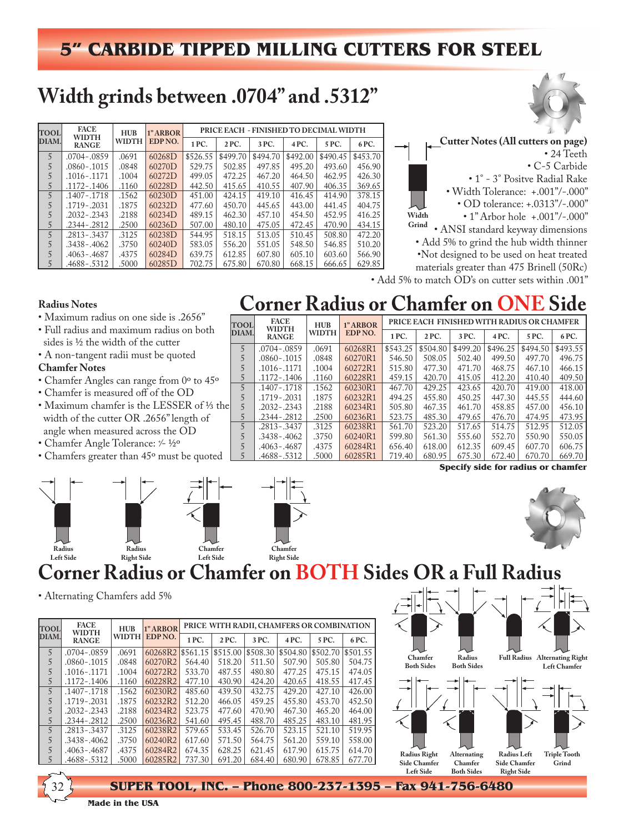# **Width grinds between .0704" and .5312"**

| <b>TOOL</b>    | <b>FACE</b><br><b>WIDTH</b> | <b>HUB</b>   | 1" ARBOR |          | PRICE EACH - FINISHED TO DECIMAL WIDTH |          |          |          |          |
|----------------|-----------------------------|--------------|----------|----------|----------------------------------------|----------|----------|----------|----------|
| DIAM.          | <b>RANGE</b>                | <b>WIDTH</b> | EDP NO.  | 1 PC.    | 2 PC.                                  | 3 PC.    | 4 PC.    | 5 PC.    | 6 PC.    |
| $\overline{5}$ | $.0704 - .0859$             | .0691        | 60268D   | \$526.55 | \$499.70                               | \$494.70 | \$492.00 | \$490.45 | \$453.70 |
| 5              | .0860-.1015                 | .0848        | 60270D   | 529.75   | 502.85                                 | 497.85   | 495.20   | 493.60   | 456.90   |
| 5              | .1016-.1171                 | .1004        | 60272D   | 499.05   | 472.25                                 | 467.20   | 464.50   | 462.95   | 426.30   |
| 5              | .1172-.1406                 | .1160        | 60228D   | 442.50   | 415.65                                 | 410.55   | 407.90   | 406.35   | 369.65   |
| 5              | $.1407 - .1718$             | .1562        | 60230D   | 451.00   | 424.15                                 | 419.10   | 416.45   | 414.90   | 378.15   |
|                | $.1719 - .2031$             | .1875        | 60232D   | 477.60   | 450.70                                 | 445.65   | 443.00   | 441.45   | 404.75   |
| 5              | $.2032 - .2343$             | .2188        | 60234D   | 489.15   | 462.30                                 | 457.10   | 454.50   | 452.95   | 416.25   |
|                | .2344 - .2812               | .2500        | 60236D   | 507.00   | 480.10                                 | 475.05   | 472.45   | 470.90   | 434.15   |
| $\overline{5}$ | $.2813 - .3437$             | .3125        | 60238D   | 544.95   | 518.15                                 | 513.05   | 510.45   | 508.80   | 472.20   |
|                | .3438 - .4062               | .3750        | 60240D   | 583.05   | 556.20                                 | 551.05   | 548.50   | 546.85   | 510.20   |
| 5              | $.4063 - .4687$             | .4375        | 60284D   | 639.75   | 612.85                                 | 607.80   | 605.10   | 603.60   | 566.90   |
|                | .4688-.5312                 | .5000        | 60285D   | 702.75   | 675.80                                 | 670.80   | 668.15   | 666.65   | 629.85   |

**Cutter Notes (All cutters on page)** • 24 Teeth • C-5 Carbide • 1° - 3° Positve Radial Rake • Width Tolerance: +.001"/-.000" • OD tolerance: +.0313"/-.000" • 1" Arbor hole +.001"/-.000" • ANSI standard keyway dimensions • Add 5% to grind the hub width thinner •Not designed to be used on heat treated materials greater than 475 Brinell (50Rc) • Add 5% to match OD's on cutter sets within .001" **Width Grind**

# **Corner Radius or Chamfer on ONE Side**

| <b>TOOL</b>    | <b>FACE</b><br><b>HUB</b><br><b>WIDTH</b> |              | 1" ARBOR            |          |          |          |          | PRICE EACH FINISHED WITH RADIUS OR CHAMFER |          |
|----------------|-------------------------------------------|--------------|---------------------|----------|----------|----------|----------|--------------------------------------------|----------|
| DIAM.          | <b>RANGE</b>                              | <b>WIDTH</b> | EDP <sub>NO</sub> . | 1 PC.    | 2 PC.    | 3 PC.    | 4 PC.    | 5 PC.                                      | 6 PC.    |
| 5 <sup>5</sup> | $.0704 - .0859$                           | .0691        | 60268R1             | \$543.25 | \$504.80 | \$499.20 | \$496.25 | \$494.50                                   | \$493.55 |
|                | $.0860 - .1015$                           | .0848        | 60270R1             | 546.50   | 508.05   | 502.40   | 499.50   | 497.70                                     | 496.75   |
|                | .1016 - .1171                             | .1004        | 60272R1             | 515.80   | 477.30   | 471.70   | 468.75   | 467.10                                     | 466.15   |
|                | .1172 - .1406                             | .1160        | 60228R1             | 459.15   | 420.70   | 415.05   | 412.20   | 410.40                                     | 409.50   |
| 5              | .1407 - .1718                             | .1562        | 60230R1             | 467.70   | 429.25   | 423.65   | 420.70   | 419.00                                     | 418.00   |
|                | .1719 - .2031                             | .1875        | 60232R1             | 494.25   | 455.80   | 450.25   | 447.30   | 445.55                                     | 444.60   |
|                | .2032 - .2343                             | .2188        | 60234R1             | 505.80   | 467.35   | 461.70   | 458.85   | 457.00                                     | 456.10   |
| 5              | $.2344 - .2812$                           | .2500        | 60236R1             | 523.75   | 485.30   | 479.65   | 476.70   | 474.95                                     | 473.95   |
|                | $.2813 - .3437$                           | .3125        | 60238R1             | 561.70   | 523.20   | 517.65   | 514.75   | 512.95                                     | 512.05   |
|                | .3438 - .4062                             | .3750        | 60240R1             | 599.80   | 561.30   | 555.60   | 552.70   | 550.90                                     | 550.05   |
|                | $.4063 - .4687$                           | .4375        | 60284R1             | 656.40   | 618.00   | 612.35   | 609.45   | 607.70                                     | 606.75   |
|                | .4688-.5312                               | .5000        | 60285R1             | 719.40   | 680.95   | 675.30   | 672.40   | 670.70                                     | 669.70   |

#### **Radius Notes**

- Maximum radius on one side is .2656"
- Full radius and maximum radius on both sides is 1/2 the width of the cutter
- A non-tangent radii must be quoted

#### **Chamfer Notes**

- Chamfer Angles can range from 0º to 45º
- Chamfer is measured off of the OD
- Maximum chamfer is the LESSER of 1/3 the width of the cutter OR .2656" length of angle when measured across the OD
- Chamfer Angle Tolerance: ½ ½
- Chamfers greater than 45º must be quoted





**Specify side for radius or chamfer**



# **Corner Radius or Chamfer on BOTH Sides OR a Full Radius**

• Alternating Chamfers add 5%

| <b>TOOL</b>    | <b>FACE</b><br><b>WIDTH</b> | <b>HUB</b>   | 1" ARBOR            |          | PRICE WITH RADII, CHAMFERS OR COMBINATION |          |          |          |          |
|----------------|-----------------------------|--------------|---------------------|----------|-------------------------------------------|----------|----------|----------|----------|
| DIAM.          | <b>RANGE</b>                | <b>WIDTH</b> | EDP <sub>NO</sub> . | 1 PC.    | 2 PC.                                     | 3 PC.    | 4 PC.    | 5 PC.    | 6 PC.    |
| 5              | .0704-.0859                 | .0691        | 60268R2             | \$561.15 | \$515.00                                  | \$508.30 | \$504.80 | \$502.70 | \$501.55 |
| 5              | $.0860 - .1015$             | .0848        | 60270R2             | 564.40   | 518.20                                    | 511.50   | 507.90   | 505.80   | 504.75   |
| 5              | .1016-.1171                 | .1004        | 60272R2             | 533.70   | 487.55                                    | 480.80   | 477.25   | 475.15   | 474.05   |
| 5              | $.1172 - .1406$             | .1160        | 60228R2             | 477.10   | 430.90                                    | 424.20   | 420.65   | 418.55   | 417.45   |
| 5              | $.1407 - .1718$             | .1562        | 60230R2             | 485.60   | 439.50                                    | 432.75   | 429.20   | 427.10   | 426.00   |
| 5              | .1719 - .2031               | .1875        | 60232R2             | 512.20   | 466.05                                    | 459.25   | 455.80   | 453.70   | 452.50   |
| 5              | .2032-.2343                 | .2188        | 60234R2             | 523.75   | 477.60                                    | 470.90   | 467.30   | 465.20   | 464.00   |
| 5              | .2344-.2812                 | .2500        | 60236R2             | 541.60   | 495.45                                    | 488.70   | 485.25   | 483.10   | 481.95   |
| $\overline{5}$ | $.2813 - .3437$             | .3125        | 60238R2             | 579.65   | 533.45                                    | 526.70   | 523.15   | 521.10   | 519.95   |
| 5              | .3438-.4062                 | .3750        | 60240R2             | 617.60   | 571.50                                    | 564.75   | 561.20   | 559.10   | 558.00   |
| 5              | .4063-.4687                 | .4375        | 60284R2             | 674.35   | 628.25                                    | 621.45   | 617.90   | 615.75   | 614.70   |
| 5              | .4688-.5312                 | .5000        | 60285R2             | 737.30   | 691.20                                    | 684.40   | 680.90   | 678.85   | 677.70   |





**SUPER TOOL, INC. – Phone 800-237-1395 – Fax 941-756-6480**